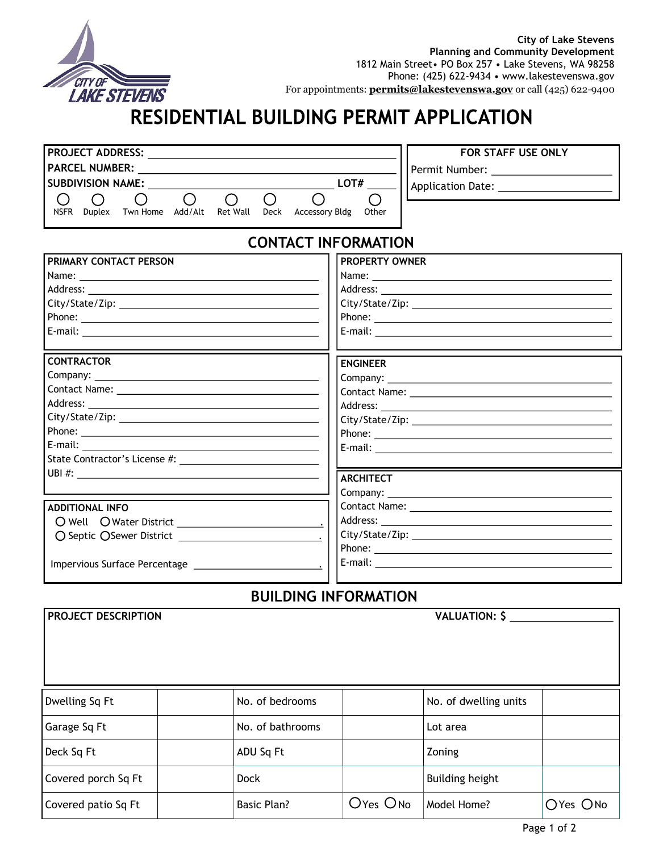

## RESIDENTIAL BUILDING PERMIT APPLICATION

| <b>PROJECT ADDRESS:</b>  |               |          |                          |          |             |                |       | <b>FOR STAFF USE ONLY</b> |
|--------------------------|---------------|----------|--------------------------|----------|-------------|----------------|-------|---------------------------|
| <b>PARCEL NUMBER:</b>    |               |          |                          |          |             |                |       | Permit Number:            |
| <b>SUBDIVISION NAME:</b> |               |          | <b>Application Date:</b> |          |             |                |       |                           |
|                          |               |          |                          |          |             |                |       |                           |
| <b>NSFR</b>              | <b>Duplex</b> | Twn Home | Add/Alt                  | Ret Wall | <b>Deck</b> | Accessory Bldg | Other |                           |
|                          |               |          |                          |          |             |                |       |                           |

## **CONTACT INFORMATION**

| PRIMARY CONTACT PERSON<br>Name: Name and the second contract of the second contract of the second contract of the second contract of the second contract of the second contract of the second contract of the second contract of the second contract of<br>Phone: <u>with the contract of the contract of the contract of the contract of the contract of the contract of the contract of the contract of the contract of the contract of the contract of the contract of the contract of t</u> | <b>PROPERTY OWNER</b> |  |  |
|-------------------------------------------------------------------------------------------------------------------------------------------------------------------------------------------------------------------------------------------------------------------------------------------------------------------------------------------------------------------------------------------------------------------------------------------------------------------------------------------------|-----------------------|--|--|
| <b>CONTRACTOR</b>                                                                                                                                                                                                                                                                                                                                                                                                                                                                               | <b>ENGINEER</b>       |  |  |
| <b>ADDITIONAL INFO</b>                                                                                                                                                                                                                                                                                                                                                                                                                                                                          | <b>ARCHITECT</b>      |  |  |

## **BUILDING INFORMATION**

| PROJECT DESCRIPTION |                    |          | <b>VALUATION: \$</b>   |          |
|---------------------|--------------------|----------|------------------------|----------|
| Dwelling Sq Ft      | No. of bedrooms    |          | No. of dwelling units  |          |
| Garage Sq Ft        | No. of bathrooms   |          | Lot area               |          |
| Deck Sq Ft          | ADU Sq Ft          |          | Zoning                 |          |
| Covered porch Sq Ft | <b>Dock</b>        |          | <b>Building height</b> |          |
| Covered patio Sq Ft | <b>Basic Plan?</b> | OYes ONo | Model Home?            | OYes ONo |